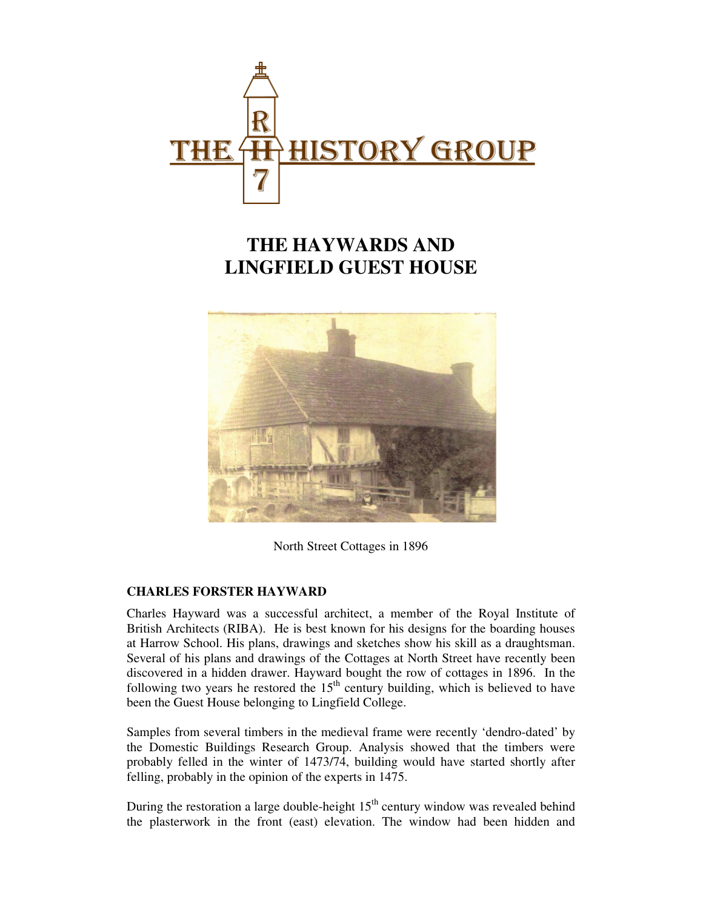

## **THE HAYWARDS AND LINGFIELD GUEST HOUSE**



North Street Cottages in 1896

## **CHARLES FORSTER HAYWARD**

Charles Hayward was a successful architect, a member of the Royal Institute of British Architects (RIBA). He is best known for his designs for the boarding houses at Harrow School. His plans, drawings and sketches show his skill as a draughtsman. Several of his plans and drawings of the Cottages at North Street have recently been discovered in a hidden drawer. Hayward bought the row of cottages in 1896. In the following two years he restored the  $15<sup>th</sup>$  century building, which is believed to have been the Guest House belonging to Lingfield College.

Samples from several timbers in the medieval frame were recently 'dendro-dated' by the Domestic Buildings Research Group. Analysis showed that the timbers were probably felled in the winter of 1473/74, building would have started shortly after felling, probably in the opinion of the experts in 1475.

During the restoration a large double-height  $15<sup>th</sup>$  century window was revealed behind the plasterwork in the front (east) elevation. The window had been hidden and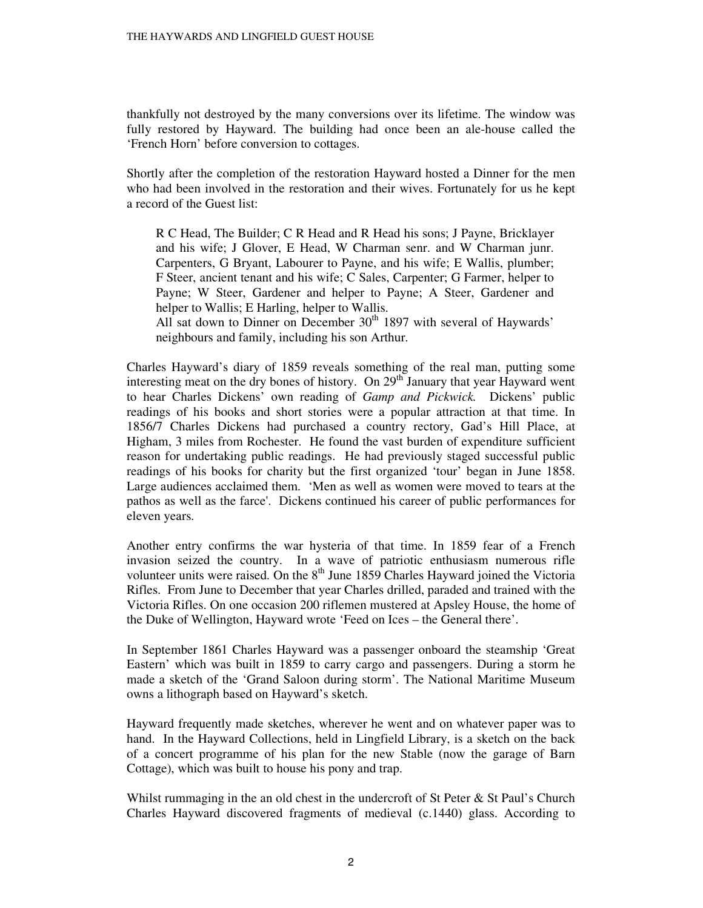thankfully not destroyed by the many conversions over its lifetime. The window was fully restored by Hayward. The building had once been an ale-house called the 'French Horn' before conversion to cottages.

Shortly after the completion of the restoration Hayward hosted a Dinner for the men who had been involved in the restoration and their wives. Fortunately for us he kept a record of the Guest list:

R C Head, The Builder; C R Head and R Head his sons; J Payne, Bricklayer and his wife; J Glover, E Head, W Charman senr. and W Charman junr. Carpenters, G Bryant, Labourer to Payne, and his wife; E Wallis, plumber; F Steer, ancient tenant and his wife; C Sales, Carpenter; G Farmer, helper to Payne; W Steer, Gardener and helper to Payne; A Steer, Gardener and helper to Wallis; E Harling, helper to Wallis.

All sat down to Dinner on December  $30<sup>th</sup>$  1897 with several of Haywards' neighbours and family, including his son Arthur.

Charles Hayward's diary of 1859 reveals something of the real man, putting some interesting meat on the dry bones of history. On  $29<sup>th</sup>$  January that year Hayward went to hear Charles Dickens' own reading of *Gamp and Pickwick.* Dickens' public readings of his books and short stories were a popular attraction at that time. In 1856/7 Charles Dickens had purchased a country rectory, Gad's Hill Place, at Higham, 3 miles from Rochester. He found the vast burden of expenditure sufficient reason for undertaking public readings. He had previously staged successful public readings of his books for charity but the first organized 'tour' began in June 1858. Large audiences acclaimed them. 'Men as well as women were moved to tears at the pathos as well as the farce'. Dickens continued his career of public performances for eleven years.

Another entry confirms the war hysteria of that time. In 1859 fear of a French invasion seized the country. In a wave of patriotic enthusiasm numerous rifle volunteer units were raised. On the  $8<sup>th</sup>$  June 1859 Charles Hayward joined the Victoria Rifles. From June to December that year Charles drilled, paraded and trained with the Victoria Rifles. On one occasion 200 riflemen mustered at Apsley House, the home of the Duke of Wellington, Hayward wrote 'Feed on Ices – the General there'.

In September 1861 Charles Hayward was a passenger onboard the steamship 'Great Eastern' which was built in 1859 to carry cargo and passengers. During a storm he made a sketch of the 'Grand Saloon during storm'. The National Maritime Museum owns a lithograph based on Hayward's sketch.

Hayward frequently made sketches, wherever he went and on whatever paper was to hand. In the Hayward Collections, held in Lingfield Library, is a sketch on the back of a concert programme of his plan for the new Stable (now the garage of Barn Cottage), which was built to house his pony and trap.

Whilst rummaging in the an old chest in the undercroft of St Peter & St Paul's Church Charles Hayward discovered fragments of medieval (c.1440) glass. According to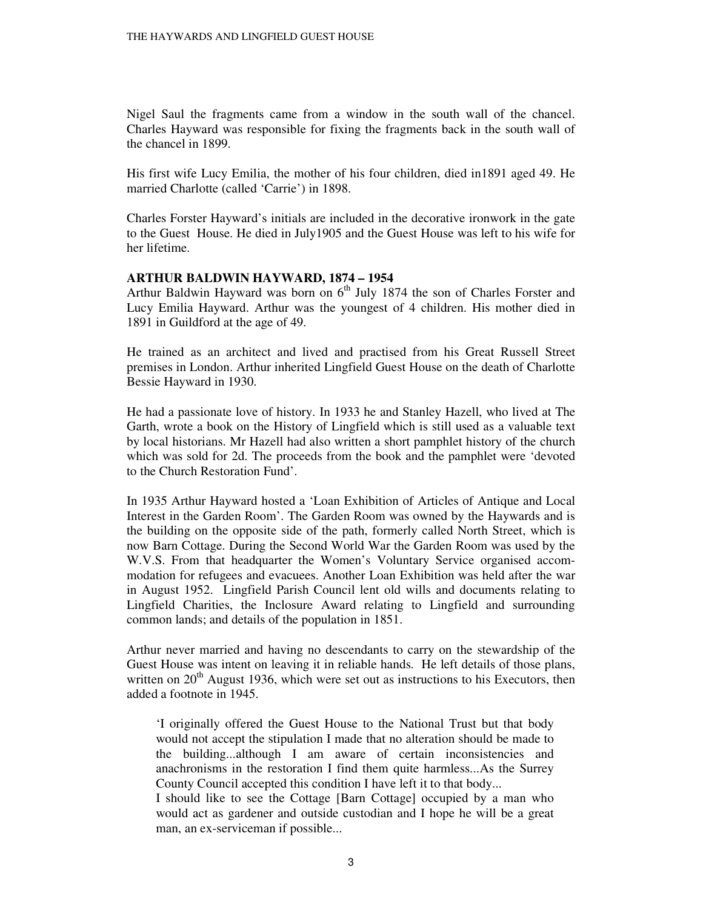Nigel Saul the fragments came from a window in the south wall of the chancel. Charles Hayward was responsible for fixing the fragments back in the south wall of the chancel in 1899.

His first wife Lucy Emilia, the mother of his four children, died in1891 aged 49. He married Charlotte (called 'Carrie') in 1898.

Charles Forster Hayward's initials are included in the decorative ironwork in the gate to the Guest House. He died in July1905 and the Guest House was left to his wife for her lifetime.

## **ARTHUR BALDWIN HAYWARD, 1874 – 1954**

Arthur Baldwin Hayward was born on  $6<sup>th</sup>$  July 1874 the son of Charles Forster and Lucy Emilia Hayward. Arthur was the youngest of 4 children. His mother died in 1891 in Guildford at the age of 49.

He trained as an architect and lived and practised from his Great Russell Street premises in London. Arthur inherited Lingfield Guest House on the death of Charlotte Bessie Hayward in 1930.

He had a passionate love of history. In 1933 he and Stanley Hazell, who lived at The Garth, wrote a book on the History of Lingfield which is still used as a valuable text by local historians. Mr Hazell had also written a short pamphlet history of the church which was sold for 2d. The proceeds from the book and the pamphlet were 'devoted to the Church Restoration Fund'.

In 1935 Arthur Hayward hosted a 'Loan Exhibition of Articles of Antique and Local Interest in the Garden Room'. The Garden Room was owned by the Haywards and is the building on the opposite side of the path, formerly called North Street, which is now Barn Cottage. During the Second World War the Garden Room was used by the W.V.S. From that headquarter the Women's Voluntary Service organised accommodation for refugees and evacuees. Another Loan Exhibition was held after the war in August 1952. Lingfield Parish Council lent old wills and documents relating to Lingfield Charities, the Inclosure Award relating to Lingfield and surrounding common lands; and details of the population in 1851.

Arthur never married and having no descendants to carry on the stewardship of the Guest House was intent on leaving it in reliable hands. He left details of those plans, written on  $20<sup>th</sup>$  August 1936, which were set out as instructions to his Executors, then added a footnote in 1945.

'I originally offered the Guest House to the National Trust but that body would not accept the stipulation I made that no alteration should be made to the building...although I am aware of certain inconsistencies and anachronisms in the restoration I find them quite harmless...As the Surrey County Council accepted this condition I have left it to that body...

I should like to see the Cottage [Barn Cottage] occupied by a man who would act as gardener and outside custodian and I hope he will be a great man, an ex-serviceman if possible...